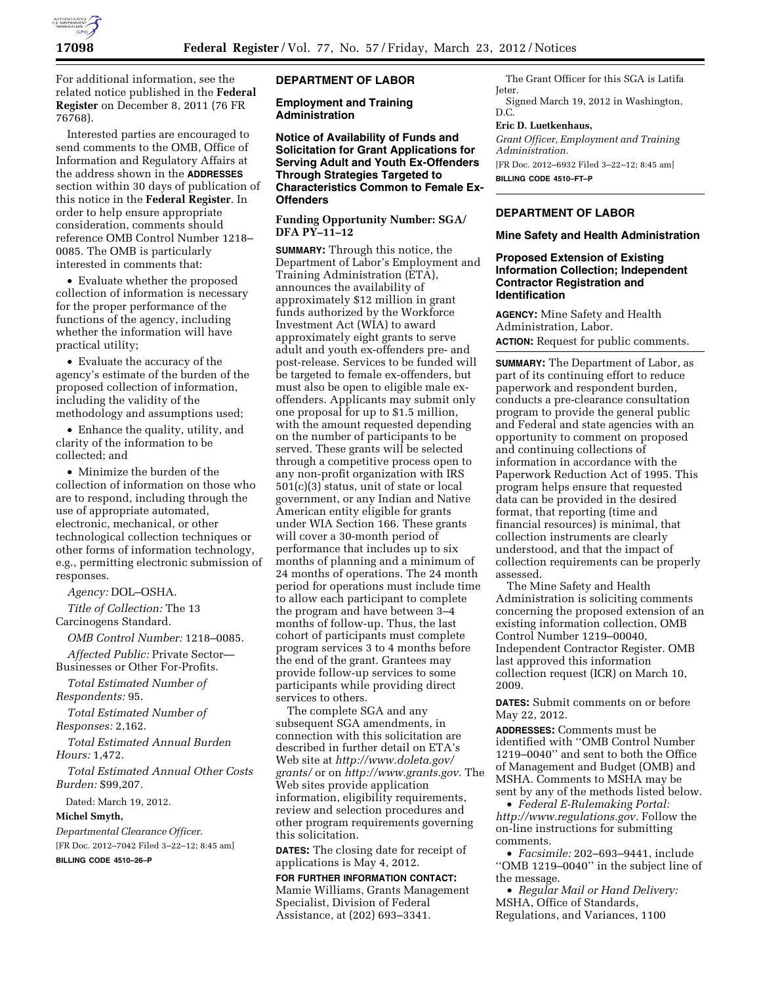

For additional information, see the related notice published in the **Federal Register** on December 8, 2011 (76 FR 76768).

Interested parties are encouraged to send comments to the OMB, Office of Information and Regulatory Affairs at the address shown in the **ADDRESSES** section within 30 days of publication of this notice in the **Federal Register**. In order to help ensure appropriate consideration, comments should reference OMB Control Number 1218– 0085. The OMB is particularly interested in comments that:

• Evaluate whether the proposed collection of information is necessary for the proper performance of the functions of the agency, including whether the information will have practical utility;

• Evaluate the accuracy of the agency's estimate of the burden of the proposed collection of information, including the validity of the methodology and assumptions used;

• Enhance the quality, utility, and clarity of the information to be collected; and

• Minimize the burden of the collection of information on those who are to respond, including through the use of appropriate automated, electronic, mechanical, or other technological collection techniques or other forms of information technology, e.g., permitting electronic submission of responses.

*Agency:* DOL–OSHA.

*Title of Collection:* The 13 Carcinogens Standard.

*OMB Control Number:* 1218–0085.

*Affected Public:* Private Sector— Businesses or Other For-Profits.

*Total Estimated Number of Respondents:* 95.

*Total Estimated Number of Responses:* 2,162.

*Total Estimated Annual Burden Hours:* 1,472.

*Total Estimated Annual Other Costs Burden:* \$99,207.

Dated: March 19, 2012.

**Michel Smyth,** 

*Departmental Clearance Officer.* 

[FR Doc. 2012–7042 Filed 3–22–12; 8:45 am] **BILLING CODE 4510–26–P** 

## **DEPARTMENT OF LABOR**

**Employment and Training Administration** 

**Notice of Availability of Funds and Solicitation for Grant Applications for Serving Adult and Youth Ex-Offenders Through Strategies Targeted to Characteristics Common to Female Ex-Offenders** 

## **Funding Opportunity Number: SGA/ DFA PY–11–12**

**SUMMARY:** Through this notice, the Department of Labor's Employment and Training Administration (ETA), announces the availability of approximately \$12 million in grant funds authorized by the Workforce Investment Act (WIA) to award approximately eight grants to serve adult and youth ex-offenders pre- and post-release. Services to be funded will be targeted to female ex-offenders, but must also be open to eligible male exoffenders. Applicants may submit only one proposal for up to \$1.5 million, with the amount requested depending on the number of participants to be served. These grants will be selected through a competitive process open to any non-profit organization with IRS 501(c)(3) status, unit of state or local government, or any Indian and Native American entity eligible for grants under WIA Section 166. These grants will cover a 30-month period of performance that includes up to six months of planning and a minimum of 24 months of operations. The 24 month period for operations must include time to allow each participant to complete the program and have between 3–4 months of follow-up. Thus, the last cohort of participants must complete program services 3 to 4 months before the end of the grant. Grantees may provide follow-up services to some participants while providing direct services to others.

The complete SGA and any subsequent SGA amendments, in connection with this solicitation are described in further detail on ETA's Web site at *[http://www.doleta.gov/](http://www.doleta.gov/grants/) [grants/](http://www.doleta.gov/grants/)* or on *[http://www.grants.gov.](http://www.grants.gov)* The Web sites provide application information, eligibility requirements, review and selection procedures and other program requirements governing this solicitation.

**DATES:** The closing date for receipt of applications is May 4, 2012.

**FOR FURTHER INFORMATION CONTACT:**  Mamie Williams, Grants Management Specialist, Division of Federal Assistance, at (202) 693–3341.

The Grant Officer for this SGA is Latifa Jeter.

Signed March 19, 2012 in Washington, D.C.

# **Eric D. Luetkenhaus,**

*Grant Officer, Employment and Training Administration.*  [FR Doc. 2012–6932 Filed 3–22–12; 8:45 am]

**BILLING CODE 4510–FT–P** 

# **DEPARTMENT OF LABOR**

#### **Mine Safety and Health Administration**

### **Proposed Extension of Existing Information Collection; Independent Contractor Registration and Identification**

**AGENCY:** Mine Safety and Health Administration, Labor. **ACTION:** Request for public comments.

**SUMMARY:** The Department of Labor, as part of its continuing effort to reduce paperwork and respondent burden, conducts a pre-clearance consultation program to provide the general public and Federal and state agencies with an opportunity to comment on proposed and continuing collections of information in accordance with the Paperwork Reduction Act of 1995. This program helps ensure that requested data can be provided in the desired format, that reporting (time and financial resources) is minimal, that collection instruments are clearly understood, and that the impact of collection requirements can be properly assessed.

The Mine Safety and Health Administration is soliciting comments concerning the proposed extension of an existing information collection, OMB Control Number 1219–00040, Independent Contractor Register. OMB last approved this information collection request (ICR) on March 10, 2009.

**DATES:** Submit comments on or before May 22, 2012.

**ADDRESSES:** Comments must be identified with ''OMB Control Number 1219–0040'' and sent to both the Office of Management and Budget (OMB) and MSHA. Comments to MSHA may be sent by any of the methods listed below.

• *Federal E-Rulemaking Portal: [http://www.regulations.gov.](http://www.regulations.gov)* Follow the on-line instructions for submitting comments.

• *Facsimile:* 202–693–9441, include ''OMB 1219–0040'' in the subject line of the message.

• *Regular Mail or Hand Delivery:*  MSHA, Office of Standards, Regulations, and Variances, 1100